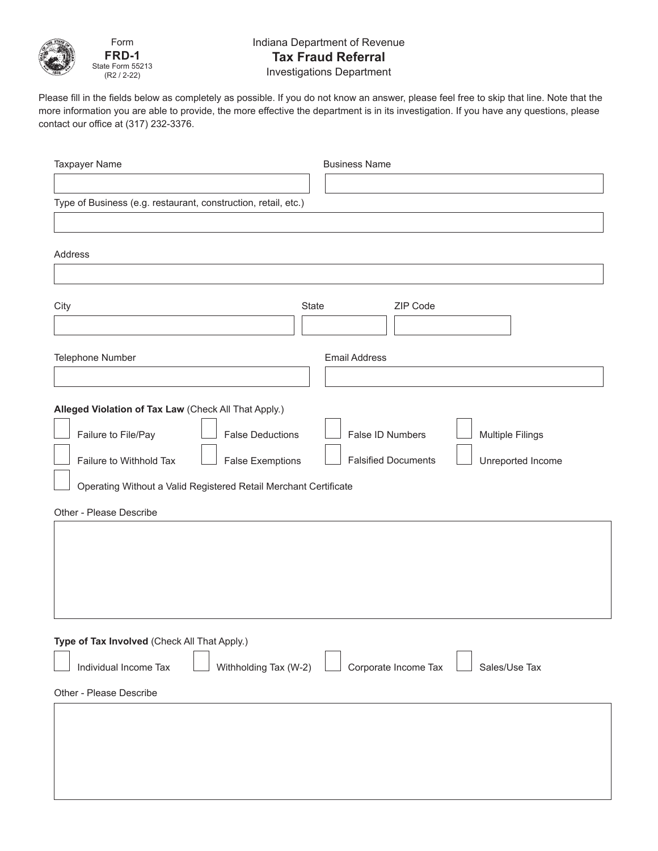

Form **FRD-1** State Form 55213 (R2 / 2-22)

## Indiana Department of Revenue **Tax Fraud Referral** Investigations Department

Please fill in the fields below as completely as possible. If you do not know an answer, please feel free to skip that line. Note that the more information you are able to provide, the more effective the department is in its investigation. If you have any questions, please contact our office at (317) 232-3376.

| <b>Taxpayer Name</b>                                             | <b>Business Name</b>                            |
|------------------------------------------------------------------|-------------------------------------------------|
|                                                                  |                                                 |
| Type of Business (e.g. restaurant, construction, retail, etc.)   |                                                 |
|                                                                  |                                                 |
| Address                                                          |                                                 |
|                                                                  |                                                 |
| City                                                             | ZIP Code<br>State                               |
|                                                                  |                                                 |
| Telephone Number                                                 | <b>Email Address</b>                            |
|                                                                  |                                                 |
| Alleged Violation of Tax Law (Check All That Apply.)             |                                                 |
| <b>False Deductions</b>                                          | False ID Numbers                                |
| Failure to File/Pay                                              | <b>Multiple Filings</b>                         |
| Failure to Withhold Tax<br><b>False Exemptions</b>               | <b>Falsified Documents</b><br>Unreported Income |
| Operating Without a Valid Registered Retail Merchant Certificate |                                                 |
| Other - Please Describe                                          |                                                 |
|                                                                  |                                                 |
|                                                                  |                                                 |
|                                                                  |                                                 |
|                                                                  |                                                 |
|                                                                  |                                                 |
| Type of Tax Involved (Check All That Apply.)                     |                                                 |
| Withholding Tax (W-2)<br>Individual Income Tax                   | Corporate Income Tax<br>Sales/Use Tax           |
| Other - Please Describe                                          |                                                 |
|                                                                  |                                                 |
|                                                                  |                                                 |
|                                                                  |                                                 |
|                                                                  |                                                 |
|                                                                  |                                                 |